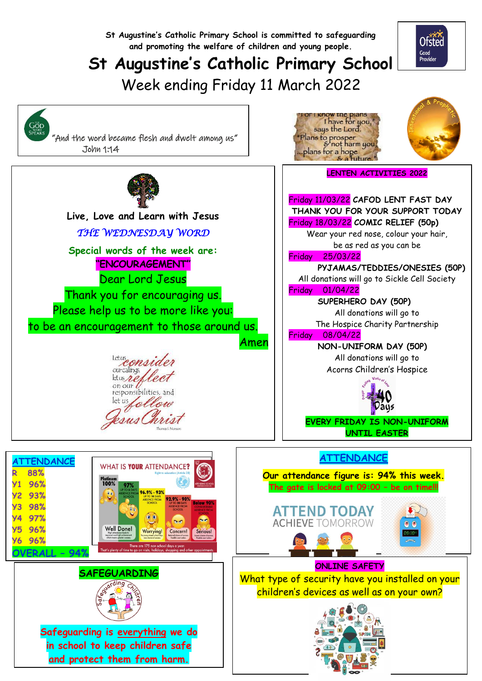